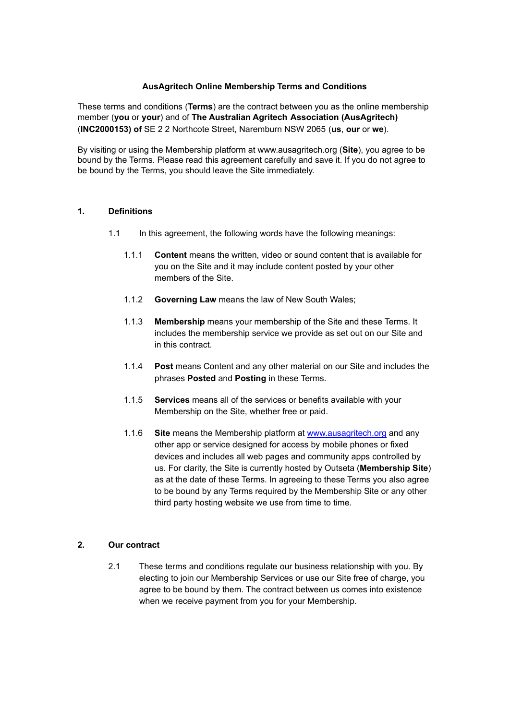### **AusAgritech Online Membership Terms and Conditions**

These terms and conditions (**Terms**) are the contract between you as the online membership member (**you** or **your**) and of **The Australian Agritech Association (AusAgritech)** (**INC2000153) of** SE 2 2 Northcote Street, Naremburn NSW 2065 (**us**, **our** or **we**).

By visiting or using the Membership platform at www.ausagritech.org (**Site**), you agree to be bound by the Terms. Please read this agreement carefully and save it. If you do not agree to be bound by the Terms, you should leave the Site immediately.

## **1. Definitions**

- 1.1 In this agreement, the following words have the following meanings:
	- 1.1.1 **Content** means the written, video or sound content that is available for you on the Site and it may include content posted by your other members of the Site.
	- 1.1.2 **Governing Law** means the law of New South Wales;
	- 1.1.3 **Membership** means your membership of the Site and these Terms. It includes the membership service we provide as set out on our Site and in this contract.
	- 1.1.4 **Post** means Content and any other material on our Site and includes the phrases **Posted** and **Posting** in these Terms.
	- 1.1.5 **Services** means all of the services or benefits available with your Membership on the Site, whether free or paid.
	- 1.1.6 **Site** means the Membership platform at [www.ausagritech.org](http://www.ausagritech.org) and any other app or service designed for access by mobile phones or fixed devices and includes all web pages and community apps controlled by us. For clarity, the Site is currently hosted by Outseta (**Membership Site**) as at the date of these Terms. In agreeing to these Terms you also agree to be bound by any Terms required by the Membership Site or any other third party hosting website we use from time to time.

### **2. Our contract**

2.1 These terms and conditions regulate our business relationship with you. By electing to join our Membership Services or use our Site free of charge, you agree to be bound by them. The contract between us comes into existence when we receive payment from you for your Membership.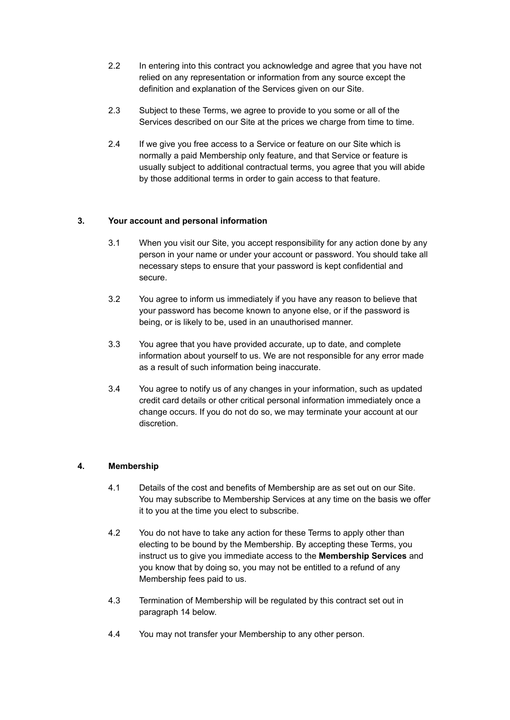- 2.2 In entering into this contract you acknowledge and agree that you have not relied on any representation or information from any source except the definition and explanation of the Services given on our Site.
- 2.3 Subject to these Terms, we agree to provide to you some or all of the Services described on our Site at the prices we charge from time to time.
- 2.4 If we give you free access to a Service or feature on our Site which is normally a paid Membership only feature, and that Service or feature is usually subject to additional contractual terms, you agree that you will abide by those additional terms in order to gain access to that feature.

# **3. Your account and personal information**

- 3.1 When you visit our Site, you accept responsibility for any action done by any person in your name or under your account or password. You should take all necessary steps to ensure that your password is kept confidential and secure.
- 3.2 You agree to inform us immediately if you have any reason to believe that your password has become known to anyone else, or if the password is being, or is likely to be, used in an unauthorised manner.
- 3.3 You agree that you have provided accurate, up to date, and complete information about yourself to us. We are not responsible for any error made as a result of such information being inaccurate.
- 3.4 You agree to notify us of any changes in your information, such as updated credit card details or other critical personal information immediately once a change occurs. If you do not do so, we may terminate your account at our discretion.

### **4. Membership**

- 4.1 Details of the cost and benefits of Membership are as set out on our Site. You may subscribe to Membership Services at any time on the basis we offer it to you at the time you elect to subscribe.
- 4.2 You do not have to take any action for these Terms to apply other than electing to be bound by the Membership. By accepting these Terms, you instruct us to give you immediate access to the **Membership Services** and you know that by doing so, you may not be entitled to a refund of any Membership fees paid to us.
- 4.3 Termination of Membership will be regulated by this contract set out in paragraph 14 below.
- 4.4 You may not transfer your Membership to any other person.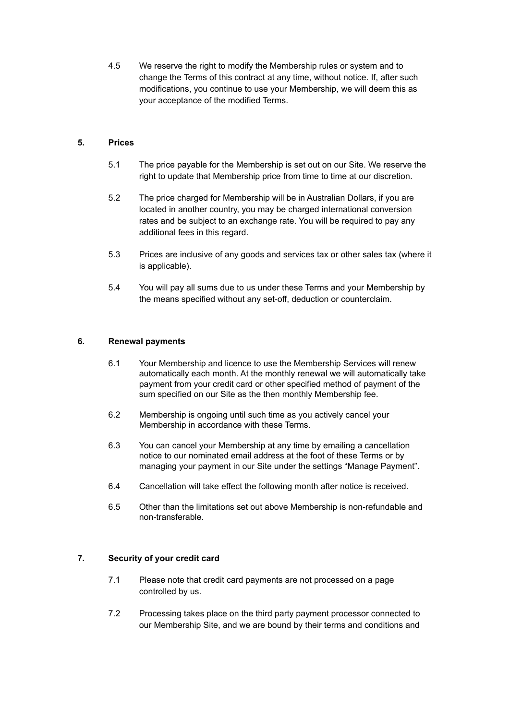4.5 We reserve the right to modify the Membership rules or system and to change the Terms of this contract at any time, without notice. If, after such modifications, you continue to use your Membership, we will deem this as your acceptance of the modified Terms.

### **5. Prices**

- 5.1 The price payable for the Membership is set out on our Site. We reserve the right to update that Membership price from time to time at our discretion.
- 5.2 The price charged for Membership will be in Australian Dollars, if you are located in another country, you may be charged international conversion rates and be subject to an exchange rate. You will be required to pay any additional fees in this regard.
- 5.3 Prices are inclusive of any goods and services tax or other sales tax (where it is applicable).
- 5.4 You will pay all sums due to us under these Terms and your Membership by the means specified without any set-off, deduction or counterclaim.

### **6. Renewal payments**

- 6.1 Your Membership and licence to use the Membership Services will renew automatically each month. At the monthly renewal we will automatically take payment from your credit card or other specified method of payment of the sum specified on our Site as the then monthly Membership fee.
- 6.2 Membership is ongoing until such time as you actively cancel your Membership in accordance with these Terms.
- 6.3 You can cancel your Membership at any time by emailing a cancellation notice to our nominated email address at the foot of these Terms or by managing your payment in our Site under the settings "Manage Payment".
- 6.4 Cancellation will take effect the following month after notice is received.
- 6.5 Other than the limitations set out above Membership is non-refundable and non-transferable.

# **7. Security of your credit card**

- 7.1 Please note that credit card payments are not processed on a page controlled by us.
- 7.2 Processing takes place on the third party payment processor connected to our Membership Site, and we are bound by their terms and conditions and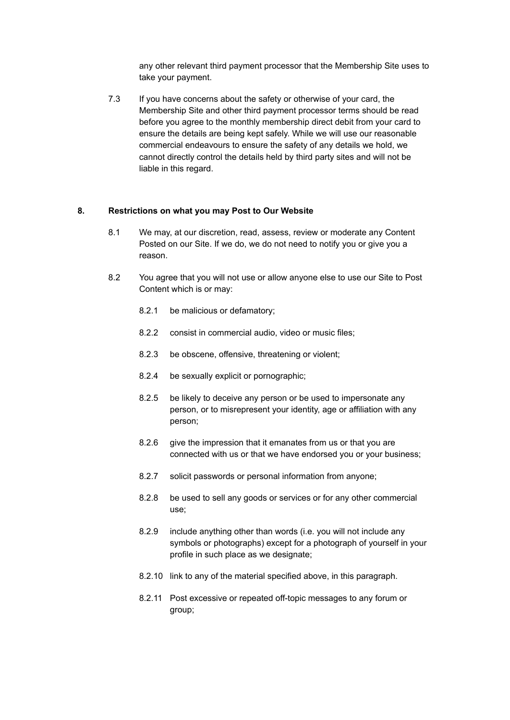any other relevant third payment processor that the Membership Site uses to take your payment.

7.3 If you have concerns about the safety or otherwise of your card, the Membership Site and other third payment processor terms should be read before you agree to the monthly membership direct debit from your card to ensure the details are being kept safely. While we will use our reasonable commercial endeavours to ensure the safety of any details we hold, we cannot directly control the details held by third party sites and will not be liable in this regard.

#### **8. Restrictions on what you may Post to Our Website**

- 8.1 We may, at our discretion, read, assess, review or moderate any Content Posted on our Site. If we do, we do not need to notify you or give you a reason.
- 8.2 You agree that you will not use or allow anyone else to use our Site to Post Content which is or may:
	- 8.2.1 be malicious or defamatory;
	- 8.2.2 consist in commercial audio, video or music files;
	- 8.2.3 be obscene, offensive, threatening or violent;
	- 8.2.4 be sexually explicit or pornographic;
	- 8.2.5 be likely to deceive any person or be used to impersonate any person, or to misrepresent your identity, age or affiliation with any person;
	- 8.2.6 give the impression that it emanates from us or that you are connected with us or that we have endorsed you or your business;
	- 8.2.7 solicit passwords or personal information from anyone;
	- 8.2.8 be used to sell any goods or services or for any other commercial use;
	- 8.2.9 include anything other than words (i.e. you will not include any symbols or photographs) except for a photograph of yourself in your profile in such place as we designate;
	- 8.2.10 link to any of the material specified above, in this paragraph.
	- 8.2.11 Post excessive or repeated off-topic messages to any forum or group;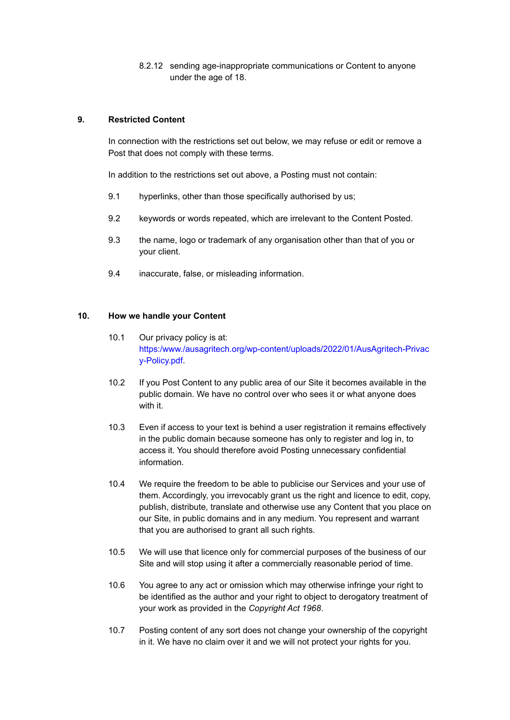8.2.12 sending age-inappropriate communications or Content to anyone under the age of 18.

## **9. Restricted Content**

In connection with the restrictions set out below, we may refuse or edit or remove a Post that does not comply with these terms.

In addition to the restrictions set out above, a Posting must not contain:

- 9.1 hyperlinks, other than those specifically authorised by us;
- 9.2 keywords or words repeated, which are irrelevant to the Content Posted.
- 9.3 the name, logo or trademark of any organisation other than that of you or your client.
- 9.4 inaccurate, false, or misleading information.

### **10. How we handle your Content**

- 10.1 Our privacy policy is at: https:/www./ausagritech.org/wp-content/uploads/2022/01/AusAgritech-Privac y-Policy.pdf.
- 10.2 If you Post Content to any public area of our Site it becomes available in the public domain. We have no control over who sees it or what anyone does with it.
- 10.3 Even if access to your text is behind a user registration it remains effectively in the public domain because someone has only to register and log in, to access it. You should therefore avoid Posting unnecessary confidential information.
- 10.4 We require the freedom to be able to publicise our Services and your use of them. Accordingly, you irrevocably grant us the right and licence to edit, copy, publish, distribute, translate and otherwise use any Content that you place on our Site, in public domains and in any medium. You represent and warrant that you are authorised to grant all such rights.
- 10.5 We will use that licence only for commercial purposes of the business of our Site and will stop using it after a commercially reasonable period of time.
- 10.6 You agree to any act or omission which may otherwise infringe your right to be identified as the author and your right to object to derogatory treatment of your work as provided in the *Copyright Act 1968*.
- 10.7 Posting content of any sort does not change your ownership of the copyright in it. We have no claim over it and we will not protect your rights for you.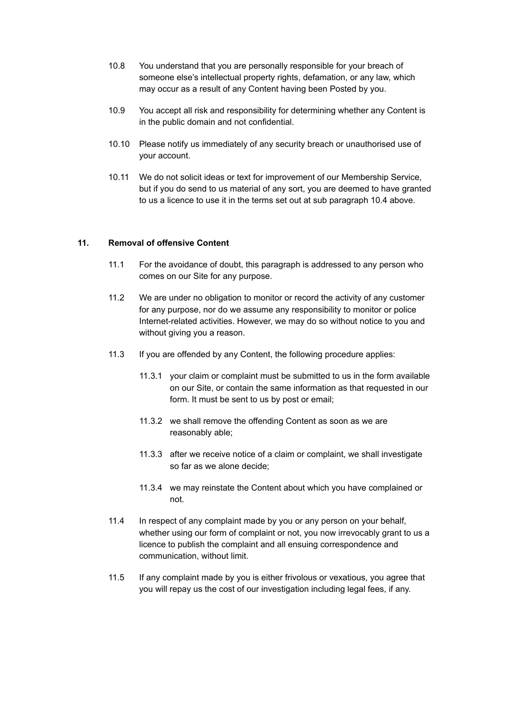- 10.8 You understand that you are personally responsible for your breach of someone else's intellectual property rights, defamation, or any law, which may occur as a result of any Content having been Posted by you.
- 10.9 You accept all risk and responsibility for determining whether any Content is in the public domain and not confidential.
- 10.10 Please notify us immediately of any security breach or unauthorised use of your account.
- 10.11 We do not solicit ideas or text for improvement of our Membership Service, but if you do send to us material of any sort, you are deemed to have granted to us a licence to use it in the terms set out at sub paragraph 10.4 above.

### **11. Removal of offensive Content**

- 11.1 For the avoidance of doubt, this paragraph is addressed to any person who comes on our Site for any purpose.
- 11.2 We are under no obligation to monitor or record the activity of any customer for any purpose, nor do we assume any responsibility to monitor or police Internet-related activities. However, we may do so without notice to you and without giving you a reason.
- 11.3 If you are offended by any Content, the following procedure applies:
	- 11.3.1 your claim or complaint must be submitted to us in the form available on our Site, or contain the same information as that requested in our form. It must be sent to us by post or email;
	- 11.3.2 we shall remove the offending Content as soon as we are reasonably able;
	- 11.3.3 after we receive notice of a claim or complaint, we shall investigate so far as we alone decide;
	- 11.3.4 we may reinstate the Content about which you have complained or not.
- 11.4 In respect of any complaint made by you or any person on your behalf, whether using our form of complaint or not, you now irrevocably grant to us a licence to publish the complaint and all ensuing correspondence and communication, without limit.
- 11.5 If any complaint made by you is either frivolous or vexatious, you agree that you will repay us the cost of our investigation including legal fees, if any.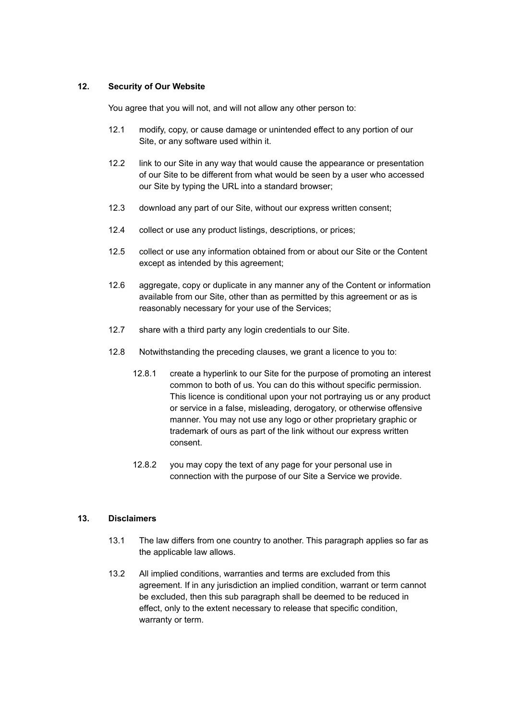## **12. Security of Our Website**

You agree that you will not, and will not allow any other person to:

- 12.1 modify, copy, or cause damage or unintended effect to any portion of our Site, or any software used within it.
- 12.2 link to our Site in any way that would cause the appearance or presentation of our Site to be different from what would be seen by a user who accessed our Site by typing the URL into a standard browser;
- 12.3 download any part of our Site, without our express written consent;
- 12.4 collect or use any product listings, descriptions, or prices;
- 12.5 collect or use any information obtained from or about our Site or the Content except as intended by this agreement;
- 12.6 aggregate, copy or duplicate in any manner any of the Content or information available from our Site, other than as permitted by this agreement or as is reasonably necessary for your use of the Services;
- 12.7 share with a third party any login credentials to our Site.
- 12.8 Notwithstanding the preceding clauses, we grant a licence to you to:
	- 12.8.1 create a hyperlink to our Site for the purpose of promoting an interest common to both of us. You can do this without specific permission. This licence is conditional upon your not portraying us or any product or service in a false, misleading, derogatory, or otherwise offensive manner. You may not use any logo or other proprietary graphic or trademark of ours as part of the link without our express written consent.
	- 12.8.2 you may copy the text of any page for your personal use in connection with the purpose of our Site a Service we provide.

## **13. Disclaimers**

- 13.1 The law differs from one country to another. This paragraph applies so far as the applicable law allows.
- 13.2 All implied conditions, warranties and terms are excluded from this agreement. If in any jurisdiction an implied condition, warrant or term cannot be excluded, then this sub paragraph shall be deemed to be reduced in effect, only to the extent necessary to release that specific condition, warranty or term.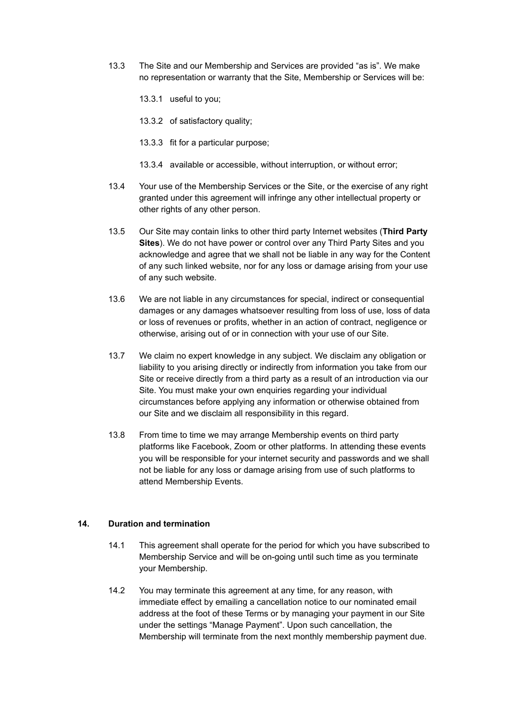- 13.3 The Site and our Membership and Services are provided "as is". We make no representation or warranty that the Site, Membership or Services will be:
	- 13.3.1 useful to you;
	- 13.3.2 of satisfactory quality;
	- 13.3.3 fit for a particular purpose;
	- 13.3.4 available or accessible, without interruption, or without error;
- 13.4 Your use of the Membership Services or the Site, or the exercise of any right granted under this agreement will infringe any other intellectual property or other rights of any other person.
- 13.5 Our Site may contain links to other third party Internet websites (**Third Party Sites**). We do not have power or control over any Third Party Sites and you acknowledge and agree that we shall not be liable in any way for the Content of any such linked website, nor for any loss or damage arising from your use of any such website.
- 13.6 We are not liable in any circumstances for special, indirect or consequential damages or any damages whatsoever resulting from loss of use, loss of data or loss of revenues or profits, whether in an action of contract, negligence or otherwise, arising out of or in connection with your use of our Site.
- 13.7 We claim no expert knowledge in any subject. We disclaim any obligation or liability to you arising directly or indirectly from information you take from our Site or receive directly from a third party as a result of an introduction via our Site. You must make your own enquiries regarding your individual circumstances before applying any information or otherwise obtained from our Site and we disclaim all responsibility in this regard.
- 13.8 From time to time we may arrange Membership events on third party platforms like Facebook, Zoom or other platforms. In attending these events you will be responsible for your internet security and passwords and we shall not be liable for any loss or damage arising from use of such platforms to attend Membership Events.

### **14. Duration and termination**

- 14.1 This agreement shall operate for the period for which you have subscribed to Membership Service and will be on-going until such time as you terminate your Membership.
- 14.2 You may terminate this agreement at any time, for any reason, with immediate effect by emailing a cancellation notice to our nominated email address at the foot of these Terms or by managing your payment in our Site under the settings "Manage Payment". Upon such cancellation, the Membership will terminate from the next monthly membership payment due.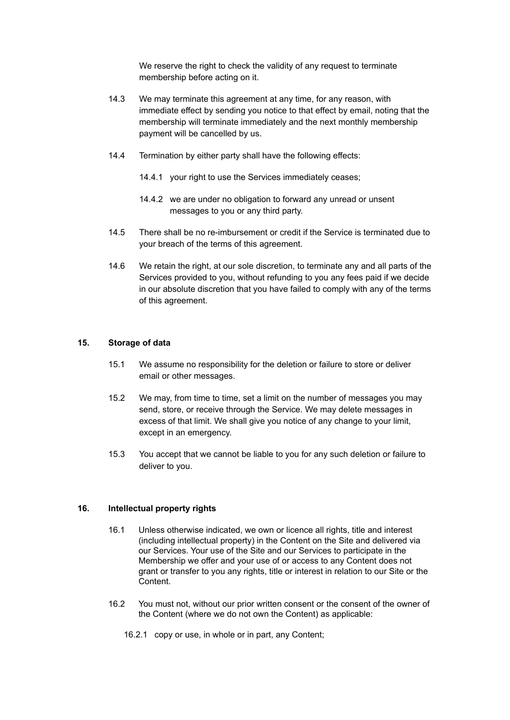We reserve the right to check the validity of any request to terminate membership before acting on it.

- 14.3 We may terminate this agreement at any time, for any reason, with immediate effect by sending you notice to that effect by email, noting that the membership will terminate immediately and the next monthly membership payment will be cancelled by us.
- 14.4 Termination by either party shall have the following effects:
	- 14.4.1 your right to use the Services immediately ceases;
	- 14.4.2 we are under no obligation to forward any unread or unsent messages to you or any third party.
- 14.5 There shall be no re-imbursement or credit if the Service is terminated due to your breach of the terms of this agreement.
- 14.6 We retain the right, at our sole discretion, to terminate any and all parts of the Services provided to you, without refunding to you any fees paid if we decide in our absolute discretion that you have failed to comply with any of the terms of this agreement.

## **15. Storage of data**

- 15.1 We assume no responsibility for the deletion or failure to store or deliver email or other messages.
- 15.2 We may, from time to time, set a limit on the number of messages you may send, store, or receive through the Service. We may delete messages in excess of that limit. We shall give you notice of any change to your limit, except in an emergency.
- 15.3 You accept that we cannot be liable to you for any such deletion or failure to deliver to you.

#### **16. Intellectual property rights**

- 16.1 Unless otherwise indicated, we own or licence all rights, title and interest (including intellectual property) in the Content on the Site and delivered via our Services. Your use of the Site and our Services to participate in the Membership we offer and your use of or access to any Content does not grant or transfer to you any rights, title or interest in relation to our Site or the Content.
- 16.2 You must not, without our prior written consent or the consent of the owner of the Content (where we do not own the Content) as applicable:
	- 16.2.1 copy or use, in whole or in part, any Content;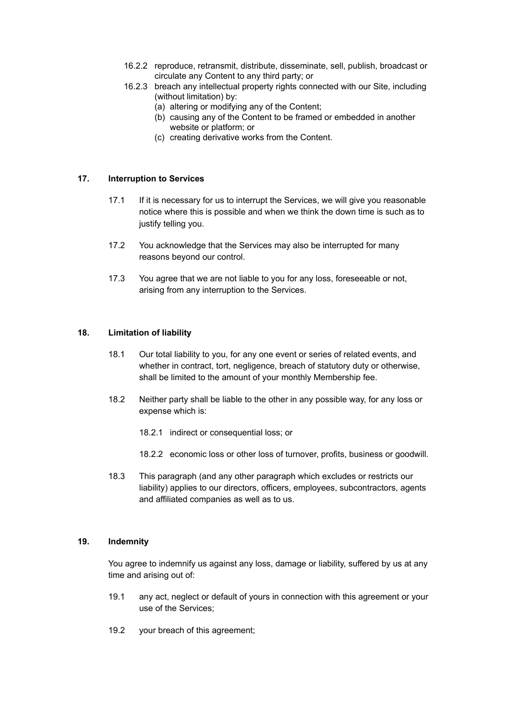- 16.2.2 reproduce, retransmit, distribute, disseminate, sell, publish, broadcast or circulate any Content to any third party; or
- 16.2.3 breach any intellectual property rights connected with our Site, including (without limitation) by:
	- (a) altering or modifying any of the Content;
	- (b) causing any of the Content to be framed or embedded in another website or platform; or
	- (c) creating derivative works from the Content.

### **17. Interruption to Services**

- 17.1 If it is necessary for us to interrupt the Services, we will give you reasonable notice where this is possible and when we think the down time is such as to justify telling you.
- 17.2 You acknowledge that the Services may also be interrupted for many reasons beyond our control.
- 17.3 You agree that we are not liable to you for any loss, foreseeable or not, arising from any interruption to the Services.

## **18. Limitation of liability**

- 18.1 Our total liability to you, for any one event or series of related events, and whether in contract, tort, negligence, breach of statutory duty or otherwise, shall be limited to the amount of your monthly Membership fee.
- 18.2 Neither party shall be liable to the other in any possible way, for any loss or expense which is:
	- 18.2.1 indirect or consequential loss; or
	- 18.2.2 economic loss or other loss of turnover, profits, business or goodwill.
- 18.3 This paragraph (and any other paragraph which excludes or restricts our liability) applies to our directors, officers, employees, subcontractors, agents and affiliated companies as well as to us.

### **19. Indemnity**

You agree to indemnify us against any loss, damage or liability, suffered by us at any time and arising out of:

- 19.1 any act, neglect or default of yours in connection with this agreement or your use of the Services;
- 19.2 your breach of this agreement;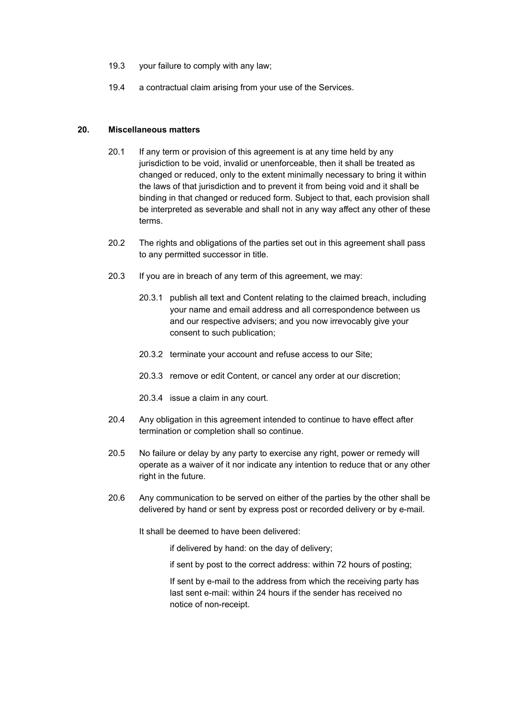- 19.3 your failure to comply with any law;
- 19.4 a contractual claim arising from your use of the Services.

#### **20. Miscellaneous matters**

- 20.1 If any term or provision of this agreement is at any time held by any jurisdiction to be void, invalid or unenforceable, then it shall be treated as changed or reduced, only to the extent minimally necessary to bring it within the laws of that jurisdiction and to prevent it from being void and it shall be binding in that changed or reduced form. Subject to that, each provision shall be interpreted as severable and shall not in any way affect any other of these terms.
- 20.2 The rights and obligations of the parties set out in this agreement shall pass to any permitted successor in title.
- 20.3 If you are in breach of any term of this agreement, we may:
	- 20.3.1 publish all text and Content relating to the claimed breach, including your name and email address and all correspondence between us and our respective advisers; and you now irrevocably give your consent to such publication;
	- 20.3.2 terminate your account and refuse access to our Site;
	- 20.3.3 remove or edit Content, or cancel any order at our discretion;
	- 20.3.4 issue a claim in any court.
- 20.4 Any obligation in this agreement intended to continue to have effect after termination or completion shall so continue.
- 20.5 No failure or delay by any party to exercise any right, power or remedy will operate as a waiver of it nor indicate any intention to reduce that or any other right in the future.
- 20.6 Any communication to be served on either of the parties by the other shall be delivered by hand or sent by express post or recorded delivery or by e-mail.

It shall be deemed to have been delivered:

if delivered by hand: on the day of delivery;

if sent by post to the correct address: within 72 hours of posting;

If sent by e-mail to the address from which the receiving party has last sent e-mail: within 24 hours if the sender has received no notice of non-receipt.